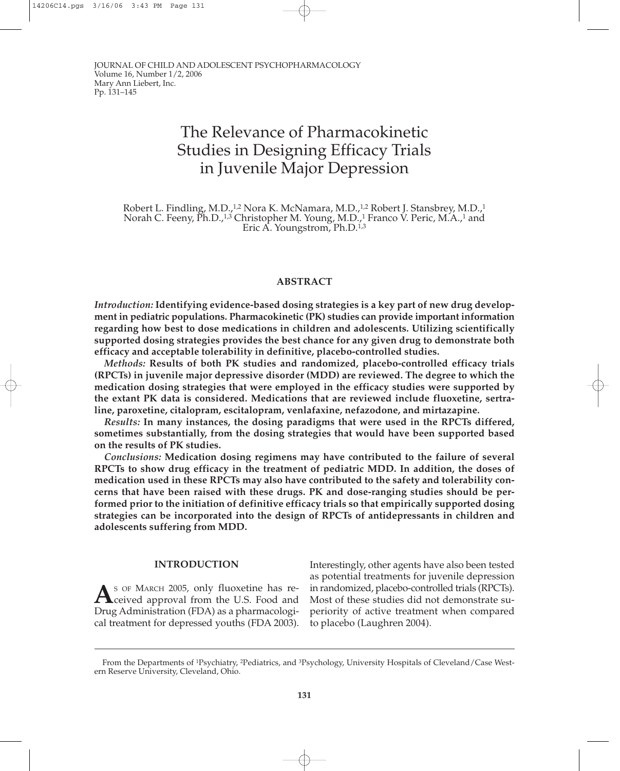# The Relevance of Pharmacokinetic Studies in Designing Efficacy Trials in Juvenile Major Depression

Robert L. Findling, M.D.,<sup>1,2</sup> Nora K. McNamara, M.D.,<sup>1,2</sup> Robert J. Stansbrey, M.D.,<sup>1</sup> Norah C. Feeny, Ph.D.,1,3 Christopher M. Young, M.D.,1 Franco V. Peric, M.A.,1 and Eric A. Youngstrom, Ph.D.1,3

## **ABSTRACT**

*Introduction:* **Identifying evidence-based dosing strategies is a key part of new drug development in pediatric populations. Pharmacokinetic (PK) studies can provide important information regarding how best to dose medications in children and adolescents. Utilizing scientifically supported dosing strategies provides the best chance for any given drug to demonstrate both efficacy and acceptable tolerability in definitive, placebo-controlled studies.**

*Methods:* **Results of both PK studies and randomized, placebo-controlled efficacy trials (RPCTs) in juvenile major depressive disorder (MDD) are reviewed. The degree to which the medication dosing strategies that were employed in the efficacy studies were supported by the extant PK data is considered. Medications that are reviewed include fluoxetine, sertraline, paroxetine, citalopram, escitalopram, venlafaxine, nefazodone, and mirtazapine.**

*Results:* **In many instances, the dosing paradigms that were used in the RPCTs differed, sometimes substantially, from the dosing strategies that would have been supported based on the results of PK studies.**

*Conclusions:* **Medication dosing regimens may have contributed to the failure of several RPCTs to show drug efficacy in the treatment of pediatric MDD. In addition, the doses of medication used in these RPCTs may also have contributed to the safety and tolerability concerns that have been raised with these drugs. PK and dose-ranging studies should be performed prior to the initiation of definitive efficacy trials so that empirically supported dosing strategies can be incorporated into the design of RPCTs of antidepressants in children and adolescents suffering from MDD.**

# **INTRODUCTION**

**A**<sup>S</sup> OF MARCH 2005, only fluoxetine has re-<br>ceived approval from the U.S. Food and Drug Administration (FDA) as a pharmacological treatment for depressed youths (FDA 2003). Interestingly, other agents have also been tested as potential treatments for juvenile depression in randomized, placebo-controlled trials (RPCTs). Most of these studies did not demonstrate superiority of active treatment when compared to placebo (Laughren 2004).

From the Departments of 1Psychiatry, 2Pediatrics, and 3Psychology, University Hospitals of Cleveland/Case Western Reserve University, Cleveland, Ohio.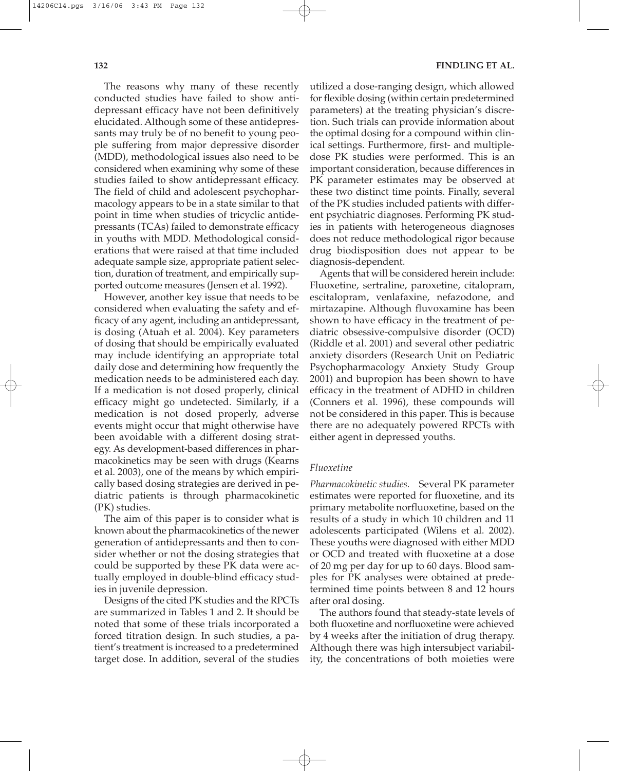The reasons why many of these recently conducted studies have failed to show antidepressant efficacy have not been definitively elucidated. Although some of these antidepressants may truly be of no benefit to young people suffering from major depressive disorder (MDD), methodological issues also need to be considered when examining why some of these studies failed to show antidepressant efficacy. The field of child and adolescent psychopharmacology appears to be in a state similar to that point in time when studies of tricyclic antidepressants (TCAs) failed to demonstrate efficacy in youths with MDD. Methodological considerations that were raised at that time included adequate sample size, appropriate patient selection, duration of treatment, and empirically supported outcome measures (Jensen et al. 1992).

However, another key issue that needs to be considered when evaluating the safety and efficacy of any agent, including an antidepressant, is dosing (Atuah et al. 2004). Key parameters of dosing that should be empirically evaluated may include identifying an appropriate total daily dose and determining how frequently the medication needs to be administered each day. If a medication is not dosed properly, clinical efficacy might go undetected. Similarly, if a medication is not dosed properly, adverse events might occur that might otherwise have been avoidable with a different dosing strategy. As development-based differences in pharmacokinetics may be seen with drugs (Kearns et al. 2003), one of the means by which empirically based dosing strategies are derived in pediatric patients is through pharmacokinetic (PK) studies.

The aim of this paper is to consider what is known about the pharmacokinetics of the newer generation of antidepressants and then to consider whether or not the dosing strategies that could be supported by these PK data were actually employed in double-blind efficacy studies in juvenile depression.

Designs of the cited PK studies and the RPCTs are summarized in Tables 1 and 2. It should be noted that some of these trials incorporated a forced titration design. In such studies, a patient's treatment is increased to a predetermined target dose. In addition, several of the studies

utilized a dose-ranging design, which allowed for flexible dosing (within certain predetermined parameters) at the treating physician's discretion. Such trials can provide information about the optimal dosing for a compound within clinical settings. Furthermore, first- and multipledose PK studies were performed. This is an important consideration, because differences in PK parameter estimates may be observed at these two distinct time points. Finally, several of the PK studies included patients with different psychiatric diagnoses. Performing PK studies in patients with heterogeneous diagnoses does not reduce methodological rigor because drug biodisposition does not appear to be diagnosis-dependent.

Agents that will be considered herein include: Fluoxetine, sertraline, paroxetine, citalopram, escitalopram, venlafaxine, nefazodone, and mirtazapine. Although fluvoxamine has been shown to have efficacy in the treatment of pediatric obsessive-compulsive disorder (OCD) (Riddle et al. 2001) and several other pediatric anxiety disorders (Research Unit on Pediatric Psychopharmacology Anxiety Study Group 2001) and bupropion has been shown to have efficacy in the treatment of ADHD in children (Conners et al. 1996), these compounds will not be considered in this paper. This is because there are no adequately powered RPCTs with either agent in depressed youths.

#### *Fluoxetine*

*Pharmacokinetic studies.* Several PK parameter estimates were reported for fluoxetine, and its primary metabolite norfluoxetine, based on the results of a study in which 10 children and 11 adolescents participated (Wilens et al. 2002). These youths were diagnosed with either MDD or OCD and treated with fluoxetine at a dose of 20 mg per day for up to 60 days. Blood samples for PK analyses were obtained at predetermined time points between 8 and 12 hours after oral dosing.

The authors found that steady-state levels of both fluoxetine and norfluoxetine were achieved by 4 weeks after the initiation of drug therapy. Although there was high intersubject variability, the concentrations of both moieties were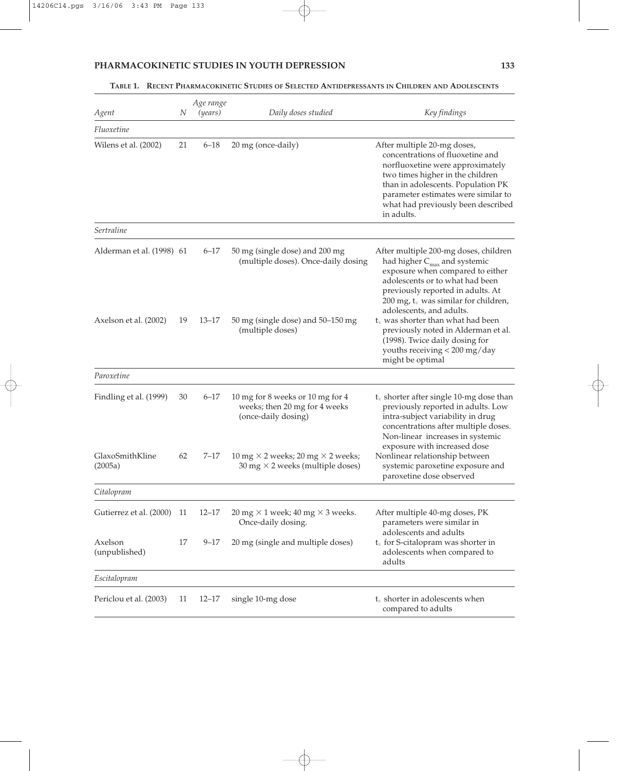# PHARMACOKINETIC STUDIES IN YOUTH DEPRESSION 133

| Agent                      | N  | Age range<br>(years) | Daily doses studied                                                                                                                                                | Key findings                                                                                                                                                                                                                                                                     |  |
|----------------------------|----|----------------------|--------------------------------------------------------------------------------------------------------------------------------------------------------------------|----------------------------------------------------------------------------------------------------------------------------------------------------------------------------------------------------------------------------------------------------------------------------------|--|
| Fluoxetine                 |    |                      |                                                                                                                                                                    |                                                                                                                                                                                                                                                                                  |  |
| Wilens et al. (2002)       | 21 | $6 - 18$             | 20 mg (once-daily)                                                                                                                                                 | After multiple 20-mg doses,<br>concentrations of fluoxetine and<br>norfluoxetine were approximately<br>two times higher in the children<br>than in adolescents. Population PK<br>parameter estimates were similar to<br>what had previously been described<br>in adults.         |  |
| <i>Sertraline</i>          |    |                      |                                                                                                                                                                    |                                                                                                                                                                                                                                                                                  |  |
| Alderman et al. (1998) 61  |    | $6 - 17$             | 50 mg (single dose) and 200 mg<br>(multiple doses). Once-daily dosing                                                                                              | After multiple 200-mg doses, children<br>had higher $\mathsf{C}_{\max}$ and systemic<br>exposure when compared to either<br>adolescents or to what had been<br>previously reported in adults. At<br>200 mg, t <sub>x</sub> was similar for children,<br>adolescents, and adults. |  |
| Axelson et al. (2002)      | 19 | $13 - 17$            | 50 mg (single dose) and 50-150 mg<br>(multiple doses)                                                                                                              | t <sub>x</sub> was shorter than what had been<br>previously noted in Alderman et al.<br>(1998). Twice daily dosing for<br>youths receiving < 200 mg/day<br>might be optimal                                                                                                      |  |
| Paroxetine                 |    |                      |                                                                                                                                                                    |                                                                                                                                                                                                                                                                                  |  |
| Findling et al. (1999)     | 30 | $6 - 17$             | 10 mg for 8 weeks or 10 mg for 4<br>weeks; then 20 mg for 4 weeks<br>(once-daily dosing)                                                                           | $t_{\text{A}}$ shorter after single 10-mg dose than<br>previously reported in adults. Low<br>intra-subject variability in drug<br>concentrations after multiple doses.<br>Non-linear increases in systemic                                                                       |  |
| GlaxoSmithKline<br>(2005a) | 62 | 7–17                 | 10 mg $\times$ 2 weeks; 20 mg $\times$ 2 weeks;<br>30 mg $\times$ 2 weeks (multiple doses)                                                                         | exposure with increased dose<br>Nonlinear relationship between<br>systemic paroxetine exposure and<br>paroxetine dose observed                                                                                                                                                   |  |
| Citalopram                 |    |                      |                                                                                                                                                                    |                                                                                                                                                                                                                                                                                  |  |
| Gutierrez et al. (2000)    | 11 | $12 - 17$            | After multiple 40-mg doses, PK<br>20 mg $\times$ 1 week; 40 mg $\times$ 3 weeks.<br>parameters were similar in<br>Once-daily dosing.                               |                                                                                                                                                                                                                                                                                  |  |
| Axelson<br>(unpublished)   | 17 | $9 - 17$             | adolescents and adults<br>t <sub><sup>x</sup></sub> for S-citalopram was shorter in<br>20 mg (single and multiple doses)<br>adolescents when compared to<br>adults |                                                                                                                                                                                                                                                                                  |  |
| Escitalopram               |    |                      |                                                                                                                                                                    |                                                                                                                                                                                                                                                                                  |  |
| Periclou et al. (2003)     | 11 | $12 - 17$            | single 10-mg dose                                                                                                                                                  | $t_{\mathbf{X}}$ shorter in adolescents when<br>compared to adults                                                                                                                                                                                                               |  |

| Table 1.    Recent Pharmacokinetic Studies of Selected Antidepressants in Children and Adolescents |
|----------------------------------------------------------------------------------------------------|
|----------------------------------------------------------------------------------------------------|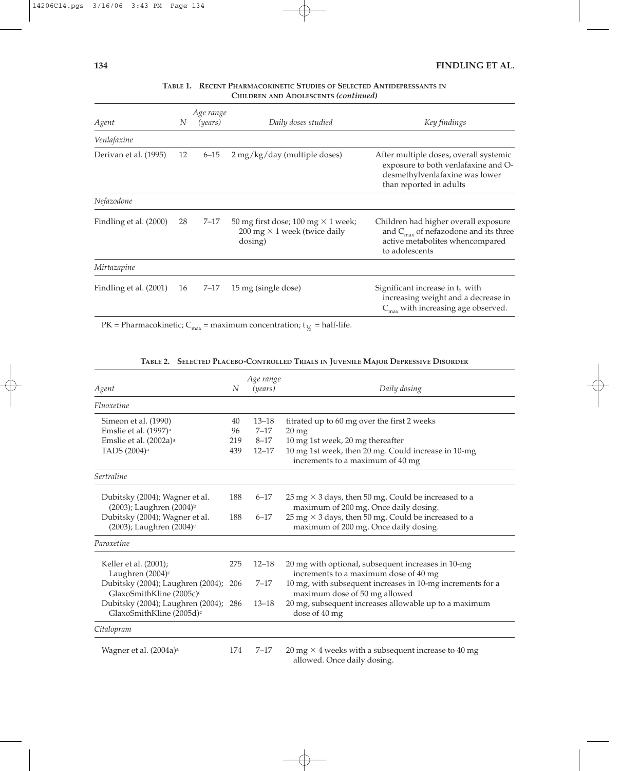| Agent<br>Venlafaxine                    |    | Age range<br>(years) | Daily doses studied                                                                                                                 | Key findings                                                                                                                                  |  |
|-----------------------------------------|----|----------------------|-------------------------------------------------------------------------------------------------------------------------------------|-----------------------------------------------------------------------------------------------------------------------------------------------|--|
|                                         |    |                      |                                                                                                                                     |                                                                                                                                               |  |
| Derivan et al. (1995)                   | 12 | $6 - 15$             | 2 mg/kg/day (multiple doses)                                                                                                        | After multiple doses, overall systemic<br>exposure to both venlafaxine and O-<br>desmethylvenlafaxine was lower<br>than reported in adults    |  |
| Nefazodone                              |    |                      |                                                                                                                                     |                                                                                                                                               |  |
| Findling et al. (2000)                  | 28 | $7 - 17$             | 50 mg first dose; 100 mg $\times$ 1 week;<br>200 mg $\times$ 1 week (twice daily<br>dosing)                                         | Children had higher overall exposure<br>and $C_{\text{max}}$ of nefazodone and its three<br>active metabolites whencompared<br>to adolescents |  |
| Mirtazapine                             |    |                      |                                                                                                                                     |                                                                                                                                               |  |
| Findling et al. $(2001)$ 16<br>$7 - 17$ |    | 15 mg (single dose)  | Significant increase in $t_{\lambda}$ with<br>increasing weight and a decrease in<br>$C_{\text{max}}$ with increasing age observed. |                                                                                                                                               |  |

| TABLE 1. RECENT PHARMACOKINETIC STUDIES OF SELECTED ANTIDEPRESSANTS IN |
|------------------------------------------------------------------------|
| CHILDREN AND ADOLESCENTS (continued)                                   |

 $\text{PK} = \text{Pharmacokinetic; } \text{C}_{\text{max}} = \text{maximum concentration; } \text{t}_{\text{1/2}} = \text{half-life.}$ 

| Agent                                                                         | N   | Age range<br>(years) | Daily dosing                                                                                                         |
|-------------------------------------------------------------------------------|-----|----------------------|----------------------------------------------------------------------------------------------------------------------|
| Fluoxetine                                                                    |     |                      |                                                                                                                      |
| Simeon et al. (1990)                                                          | 40  | $13 - 18$            | titrated up to 60 mg over the first 2 weeks                                                                          |
| Emslie et al. (1997) <sup>a</sup>                                             | 96  | $7 - 17$             | $20 \,\mathrm{mg}$                                                                                                   |
| Emslie et al. (2002a) <sup>a</sup>                                            | 219 | $8 - 17$             | 10 mg 1st week, 20 mg thereafter                                                                                     |
| TADS (2004) <sup>a</sup>                                                      | 439 | $12 - 17$            | 10 mg 1st week, then 20 mg. Could increase in 10-mg<br>increments to a maximum of 40 mg                              |
| Sertraline                                                                    |     |                      |                                                                                                                      |
| Dubitsky (2004); Wagner et al.<br>(2003); Laughren (2004) <sup>b</sup>        | 188 | $6 - 17$             | 25 mg $\times$ 3 days, then 50 mg. Could be increased to a<br>maximum of 200 mg. Once daily dosing.                  |
| Dubitsky (2004); Wagner et al.<br>(2003); Laughren (2004) <sup>c</sup>        | 188 | $6 - 17$             | $25 \text{ mg} \times 3 \text{ days}$ , then 50 mg. Could be increased to a<br>maximum of 200 mg. Once daily dosing. |
| Paroxetine                                                                    |     |                      |                                                                                                                      |
| Keller et al. (2001);<br>Laughren $(2004)$ <sup>c</sup>                       | 275 | $12 - 18$            | 20 mg with optional, subsequent increases in 10-mg<br>increments to a maximum dose of 40 mg                          |
| Dubitsky (2004); Laughren (2004); 206<br>GlaxoSmithKline (2005c) <sup>c</sup> |     | $7 - 17$             | 10 mg, with subsequent increases in 10-mg increments for a<br>maximum dose of 50 mg allowed                          |
| Dubitsky (2004); Laughren (2004); 286<br>GlaxoSmithKline (2005d) <sup>c</sup> |     | $13 - 18$            | 20 mg, subsequent increases allowable up to a maximum<br>dose of 40 mg                                               |
| Citalopram                                                                    |     |                      |                                                                                                                      |
| Wagner et al. (2004a) <sup>a</sup>                                            | 174 | $7 - 17$             | 20 mg $\times$ 4 weeks with a subsequent increase to 40 mg<br>allowed. Once daily dosing.                            |

**TABLE 2. SELECTED PLACEBO-CONTROLLED TRIALS IN JUVENILE MAJOR DEPRESSIVE DISORDER**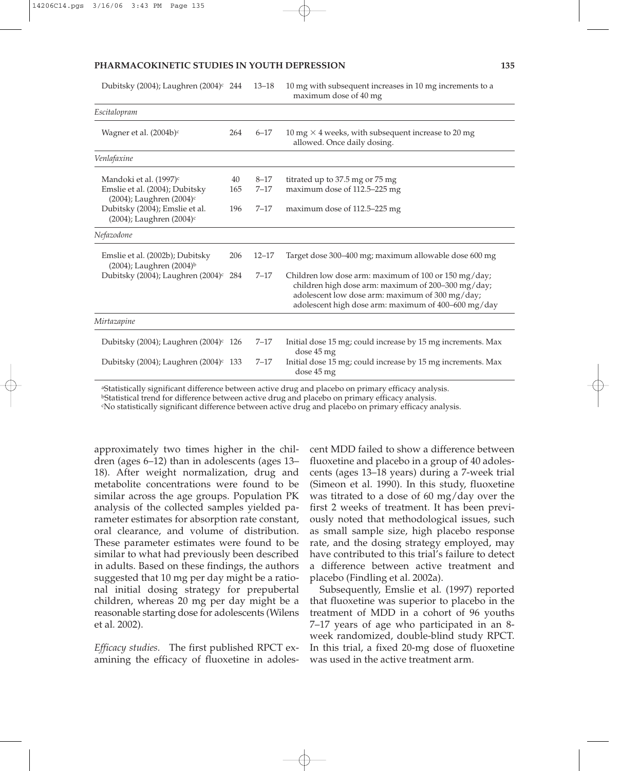#### **PHARMACOKINETIC STUDIES IN YOUTH DEPRESSION 135**

Dubitsky (2004); Laughren (2004) $\epsilon$  244 13–18 10 mg with subsequent increases in 10 mg increments to a maximum dose of 40 mg

| Escitalopram                                                                                                                                   |                  |                                  |                                                                                                                                                                                                                      |
|------------------------------------------------------------------------------------------------------------------------------------------------|------------------|----------------------------------|----------------------------------------------------------------------------------------------------------------------------------------------------------------------------------------------------------------------|
| Wagner et al. (2004b) <sup>c</sup>                                                                                                             | 264              | $6 - 17$                         | 10 mg $\times$ 4 weeks, with subsequent increase to 20 mg<br>allowed. Once daily dosing.                                                                                                                             |
| Venlafaxine                                                                                                                                    |                  |                                  |                                                                                                                                                                                                                      |
| Mandoki et al. (1997) <sup>c</sup><br>Emslie et al. (2004); Dubitsky<br>(2004); Laughren (2004) <sup>c</sup><br>Dubitsky (2004); Emslie et al. | 40<br>165<br>196 | $8 - 17$<br>$7 - 17$<br>$7 - 17$ | titrated up to 37.5 mg or 75 mg<br>maximum dose of 112.5-225 mg<br>maximum dose of 112.5-225 mg                                                                                                                      |
| (2004); Laughren (2004) <sup>c</sup><br>Nefazodone                                                                                             |                  |                                  |                                                                                                                                                                                                                      |
|                                                                                                                                                |                  |                                  |                                                                                                                                                                                                                      |
| Emslie et al. (2002b); Dubitsky<br>(2004); Laughren (2004) <sup>b</sup>                                                                        | 206              | $12 - 17$                        | Target dose 300-400 mg; maximum allowable dose 600 mg                                                                                                                                                                |
| Dubitsky (2004); Laughren (2004) <sup>c</sup>                                                                                                  | 284              | $7 - 17$                         | Children low dose arm: maximum of 100 or 150 mg/day;<br>children high dose arm: maximum of 200-300 mg/day;<br>adolescent low dose arm: maximum of 300 mg/day;<br>adolescent high dose arm: maximum of 400-600 mg/day |
| Mirtazapine                                                                                                                                    |                  |                                  |                                                                                                                                                                                                                      |
| Dubitsky (2004); Laughren (2004) <sup>c</sup> 126                                                                                              |                  | $7 - 17$                         | Initial dose 15 mg; could increase by 15 mg increments. Max<br>dose 45 mg                                                                                                                                            |
| Dubitsky (2004); Laughren (2004) <sup>c</sup> 133                                                                                              |                  | $7 - 17$                         | Initial dose 15 mg; could increase by 15 mg increments. Max<br>dose 45 mg                                                                                                                                            |
|                                                                                                                                                |                  |                                  |                                                                                                                                                                                                                      |

aStatistically significant difference between active drug and placebo on primary efficacy analysis.

bStatistical trend for difference between active drug and placebo on primary efficacy analysis.

cNo statistically significant difference between active drug and placebo on primary efficacy analysis.

approximately two times higher in the children (ages 6–12) than in adolescents (ages 13– 18). After weight normalization, drug and metabolite concentrations were found to be similar across the age groups. Population PK analysis of the collected samples yielded parameter estimates for absorption rate constant, oral clearance, and volume of distribution. These parameter estimates were found to be similar to what had previously been described in adults. Based on these findings, the authors suggested that 10 mg per day might be a rational initial dosing strategy for prepubertal children, whereas 20 mg per day might be a reasonable starting dose for adolescents (Wilens et al. 2002).

*Efficacy studies.* The first published RPCT examining the efficacy of fluoxetine in adolescent MDD failed to show a difference between fluoxetine and placebo in a group of 40 adolescents (ages 13–18 years) during a 7-week trial (Simeon et al. 1990). In this study, fluoxetine was titrated to a dose of 60 mg/day over the first 2 weeks of treatment. It has been previously noted that methodological issues, such as small sample size, high placebo response rate, and the dosing strategy employed, may have contributed to this trial's failure to detect a difference between active treatment and placebo (Findling et al. 2002a).

Subsequently, Emslie et al. (1997) reported that fluoxetine was superior to placebo in the treatment of MDD in a cohort of 96 youths 7–17 years of age who participated in an 8 week randomized, double-blind study RPCT. In this trial, a fixed 20-mg dose of fluoxetine was used in the active treatment arm.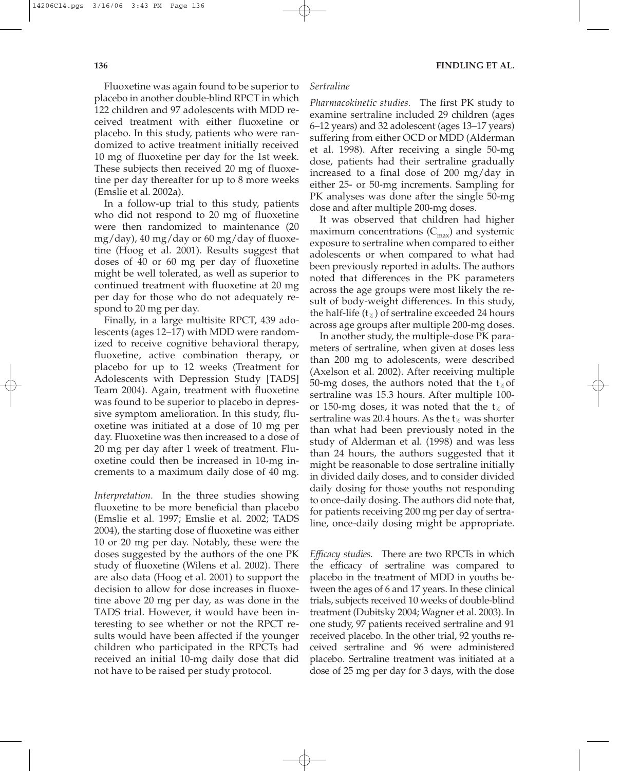Fluoxetine was again found to be superior to placebo in another double-blind RPCT in which 122 children and 97 adolescents with MDD received treatment with either fluoxetine or placebo. In this study, patients who were randomized to active treatment initially received 10 mg of fluoxetine per day for the 1st week. These subjects then received 20 mg of fluoxetine per day thereafter for up to 8 more weeks (Emslie et al. 2002a).

In a follow-up trial to this study, patients who did not respond to 20 mg of fluoxetine were then randomized to maintenance (20 mg/day), 40 mg/day or 60 mg/day of fluoxetine (Hoog et al. 2001). Results suggest that doses of 40 or 60 mg per day of fluoxetine might be well tolerated, as well as superior to continued treatment with fluoxetine at 20 mg per day for those who do not adequately respond to 20 mg per day.

Finally, in a large multisite RPCT, 439 adolescents (ages 12–17) with MDD were randomized to receive cognitive behavioral therapy, fluoxetine, active combination therapy, or placebo for up to 12 weeks (Treatment for Adolescents with Depression Study [TADS] Team 2004). Again, treatment with fluoxetine was found to be superior to placebo in depressive symptom amelioration. In this study, fluoxetine was initiated at a dose of 10 mg per day. Fluoxetine was then increased to a dose of 20 mg per day after 1 week of treatment. Fluoxetine could then be increased in 10-mg increments to a maximum daily dose of 40 mg.

*Interpretation.* In the three studies showing fluoxetine to be more beneficial than placebo (Emslie et al. 1997; Emslie et al. 2002; TADS 2004), the starting dose of fluoxetine was either 10 or 20 mg per day. Notably, these were the doses suggested by the authors of the one PK study of fluoxetine (Wilens et al. 2002). There are also data (Hoog et al. 2001) to support the decision to allow for dose increases in fluoxetine above 20 mg per day, as was done in the TADS trial. However, it would have been interesting to see whether or not the RPCT results would have been affected if the younger children who participated in the RPCTs had received an initial 10-mg daily dose that did not have to be raised per study protocol.

# *Sertraline*

*Pharmacokinetic studies.* The first PK study to examine sertraline included 29 children (ages 6–12 years) and 32 adolescent (ages 13–17 years) suffering from either OCD or MDD (Alderman et al. 1998). After receiving a single 50-mg dose, patients had their sertraline gradually increased to a final dose of 200 mg/day in either 25- or 50-mg increments. Sampling for PK analyses was done after the single 50-mg dose and after multiple 200-mg doses.

It was observed that children had higher maximum concentrations  $(C_{\text{max}})$  and systemic exposure to sertraline when compared to either adolescents or when compared to what had been previously reported in adults. The authors noted that differences in the PK parameters across the age groups were most likely the result of body-weight differences. In this study, the half-life (t $_\mathrm{\chi}$ ) of sertraline exceeded 24 hours across age groups after multiple 200-mg doses.

In another study, the multiple-dose PK parameters of sertraline, when given at doses less than 200 mg to adolescents, were described (Axelson et al. 2002). After receiving multiple 50-mg doses, the authors noted that the  ${\sf t}_{{\scriptscriptstyle \cal H}}$ of sertraline was 15.3 hours. After multiple 100 or 150-mg doses, it was noted that the  $t_{\%}$  of sertraline was 20.4 hours. As the  ${\sf t}_{{\sf k}}$  was shorter than what had been previously noted in the study of Alderman et al. (1998) and was less than 24 hours, the authors suggested that it might be reasonable to dose sertraline initially in divided daily doses, and to consider divided daily dosing for those youths not responding to once-daily dosing. The authors did note that, for patients receiving 200 mg per day of sertraline, once-daily dosing might be appropriate.

*Efficacy studies.* There are two RPCTs in which the efficacy of sertraline was compared to placebo in the treatment of MDD in youths between the ages of 6 and 17 years. In these clinical trials, subjects received 10 weeks of double-blind treatment (Dubitsky 2004; Wagner et al. 2003). In one study, 97 patients received sertraline and 91 received placebo. In the other trial, 92 youths received sertraline and 96 were administered placebo. Sertraline treatment was initiated at a dose of 25 mg per day for 3 days, with the dose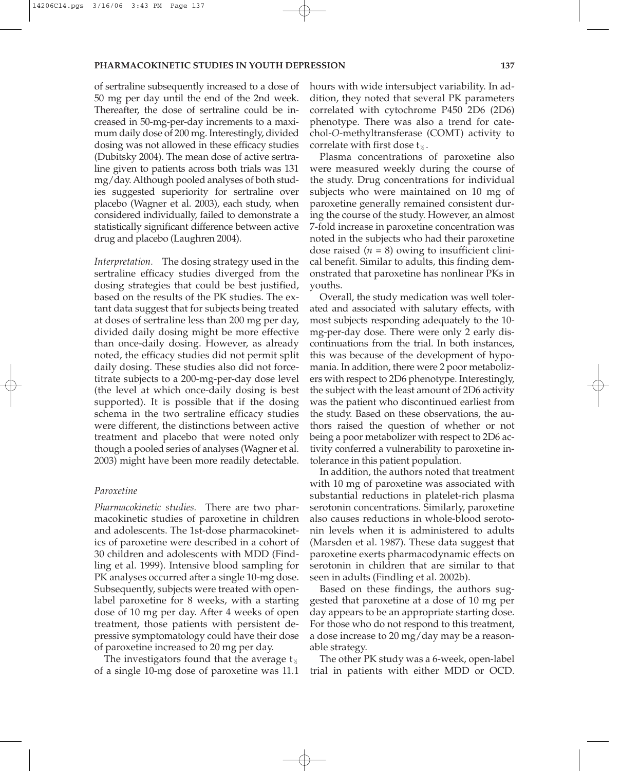of sertraline subsequently increased to a dose of 50 mg per day until the end of the 2nd week. Thereafter, the dose of sertraline could be increased in 50-mg-per-day increments to a maximum daily dose of 200 mg. Interestingly, divided dosing was not allowed in these efficacy studies (Dubitsky 2004). The mean dose of active sertraline given to patients across both trials was 131 mg/day. Although pooled analyses of both studies suggested superiority for sertraline over placebo (Wagner et al. 2003), each study, when considered individually, failed to demonstrate a statistically significant difference between active drug and placebo (Laughren 2004).

*Interpretation.* The dosing strategy used in the sertraline efficacy studies diverged from the dosing strategies that could be best justified, based on the results of the PK studies. The extant data suggest that for subjects being treated at doses of sertraline less than 200 mg per day, divided daily dosing might be more effective than once-daily dosing. However, as already noted, the efficacy studies did not permit split daily dosing. These studies also did not forcetitrate subjects to a 200-mg-per-day dose level (the level at which once-daily dosing is best supported). It is possible that if the dosing schema in the two sertraline efficacy studies were different, the distinctions between active treatment and placebo that were noted only though a pooled series of analyses (Wagner et al. 2003) might have been more readily detectable.

### *Paroxetine*

*Pharmacokinetic studies.* There are two pharmacokinetic studies of paroxetine in children and adolescents. The 1st-dose pharmacokinetics of paroxetine were described in a cohort of 30 children and adolescents with MDD (Findling et al. 1999). Intensive blood sampling for PK analyses occurred after a single 10-mg dose. Subsequently, subjects were treated with openlabel paroxetine for 8 weeks, with a starting dose of 10 mg per day. After 4 weeks of open treatment, those patients with persistent depressive symptomatology could have their dose of paroxetine increased to 20 mg per day.

The investigators found that the average t $_\%$ of a single 10-mg dose of paroxetine was 11.1 hours with wide intersubject variability. In addition, they noted that several PK parameters correlated with cytochrome P450 2D6 (2D6) phenotype. There was also a trend for catechol-*O*-methyltransferase (COMT) activity to correlate with first dose  $t_{\mathbb{X}}$ .

Plasma concentrations of paroxetine also were measured weekly during the course of the study. Drug concentrations for individual subjects who were maintained on 10 mg of paroxetine generally remained consistent during the course of the study. However, an almost 7-fold increase in paroxetine concentration was noted in the subjects who had their paroxetine dose raised  $(n = 8)$  owing to insufficient clinical benefit. Similar to adults, this finding demonstrated that paroxetine has nonlinear PKs in youths.

Overall, the study medication was well tolerated and associated with salutary effects, with most subjects responding adequately to the 10 mg-per-day dose. There were only 2 early discontinuations from the trial. In both instances, this was because of the development of hypomania. In addition, there were 2 poor metabolizers with respect to 2D6 phenotype. Interestingly, the subject with the least amount of 2D6 activity was the patient who discontinued earliest from the study. Based on these observations, the authors raised the question of whether or not being a poor metabolizer with respect to 2D6 activity conferred a vulnerability to paroxetine intolerance in this patient population.

In addition, the authors noted that treatment with 10 mg of paroxetine was associated with substantial reductions in platelet-rich plasma serotonin concentrations. Similarly, paroxetine also causes reductions in whole-blood serotonin levels when it is administered to adults (Marsden et al. 1987). These data suggest that paroxetine exerts pharmacodynamic effects on serotonin in children that are similar to that seen in adults (Findling et al. 2002b).

Based on these findings, the authors suggested that paroxetine at a dose of 10 mg per day appears to be an appropriate starting dose. For those who do not respond to this treatment, a dose increase to 20 mg/day may be a reasonable strategy.

The other PK study was a 6-week, open-label trial in patients with either MDD or OCD.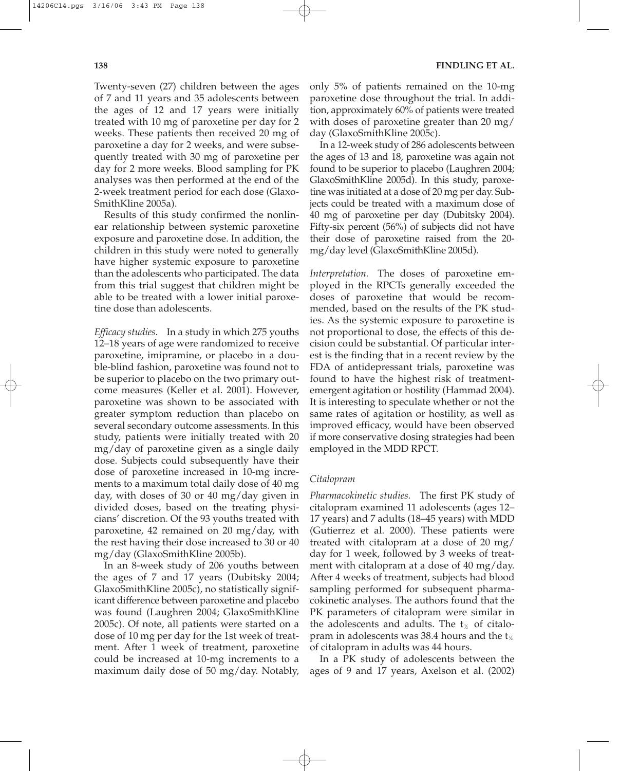Twenty-seven (27) children between the ages of 7 and 11 years and 35 adolescents between the ages of 12 and 17 years were initially treated with 10 mg of paroxetine per day for 2 weeks. These patients then received 20 mg of paroxetine a day for 2 weeks, and were subsequently treated with 30 mg of paroxetine per day for 2 more weeks. Blood sampling for PK analyses was then performed at the end of the 2-week treatment period for each dose (Glaxo-SmithKline 2005a).

Results of this study confirmed the nonlinear relationship between systemic paroxetine exposure and paroxetine dose. In addition, the children in this study were noted to generally have higher systemic exposure to paroxetine than the adolescents who participated. The data from this trial suggest that children might be able to be treated with a lower initial paroxetine dose than adolescents.

*Efficacy studies.* In a study in which 275 youths 12–18 years of age were randomized to receive paroxetine, imipramine, or placebo in a double-blind fashion, paroxetine was found not to be superior to placebo on the two primary outcome measures (Keller et al. 2001). However, paroxetine was shown to be associated with greater symptom reduction than placebo on several secondary outcome assessments. In this study, patients were initially treated with 20 mg/day of paroxetine given as a single daily dose. Subjects could subsequently have their dose of paroxetine increased in 10-mg increments to a maximum total daily dose of 40 mg day, with doses of 30 or 40 mg/day given in divided doses, based on the treating physicians' discretion. Of the 93 youths treated with paroxetine, 42 remained on 20 mg/day, with the rest having their dose increased to 30 or 40 mg/day (GlaxoSmithKline 2005b).

In an 8-week study of 206 youths between the ages of 7 and 17 years (Dubitsky 2004; GlaxoSmithKline 2005c), no statistically significant difference between paroxetine and placebo was found (Laughren 2004; GlaxoSmithKline 2005c). Of note, all patients were started on a dose of 10 mg per day for the 1st week of treatment. After 1 week of treatment, paroxetine could be increased at 10-mg increments to a maximum daily dose of 50 mg/day. Notably, only 5% of patients remained on the 10-mg paroxetine dose throughout the trial. In addition, approximately 60% of patients were treated with doses of paroxetine greater than 20 mg/ day (GlaxoSmithKline 2005c).

In a 12-week study of 286 adolescents between the ages of 13 and 18, paroxetine was again not found to be superior to placebo (Laughren 2004; GlaxoSmithKline 2005d). In this study, paroxetine was initiated at a dose of 20 mg per day. Subjects could be treated with a maximum dose of 40 mg of paroxetine per day (Dubitsky 2004). Fifty-six percent (56%) of subjects did not have their dose of paroxetine raised from the 20 mg/day level (GlaxoSmithKline 2005d).

*Interpretation.* The doses of paroxetine employed in the RPCTs generally exceeded the doses of paroxetine that would be recommended, based on the results of the PK studies. As the systemic exposure to paroxetine is not proportional to dose, the effects of this decision could be substantial. Of particular interest is the finding that in a recent review by the FDA of antidepressant trials, paroxetine was found to have the highest risk of treatmentemergent agitation or hostility (Hammad 2004). It is interesting to speculate whether or not the same rates of agitation or hostility, as well as improved efficacy, would have been observed if more conservative dosing strategies had been employed in the MDD RPCT.

# *Citalopram*

*Pharmacokinetic studies.* The first PK study of citalopram examined 11 adolescents (ages 12– 17 years) and 7 adults (18–45 years) with MDD (Gutierrez et al. 2000). These patients were treated with citalopram at a dose of 20 mg/ day for 1 week, followed by 3 weeks of treatment with citalopram at a dose of 40 mg/day. After 4 weeks of treatment, subjects had blood sampling performed for subsequent pharmacokinetic analyses. The authors found that the PK parameters of citalopram were similar in the adolescents and adults. The  $t_{\frac{1}{2}}$  of citalopram in adolescents was 38.4 hours and the t $_\mathrm{\%}$ of citalopram in adults was 44 hours.

In a PK study of adolescents between the ages of 9 and 17 years, Axelson et al. (2002)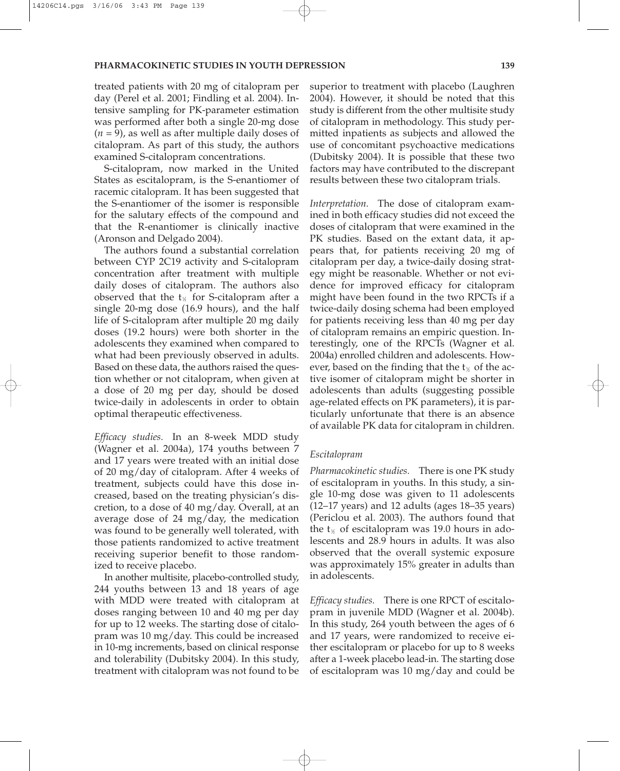treated patients with 20 mg of citalopram per day (Perel et al. 2001; Findling et al. 2004). Intensive sampling for PK-parameter estimation was performed after both a single 20-mg dose  $(n = 9)$ , as well as after multiple daily doses of citalopram. As part of this study, the authors examined S-citalopram concentrations.

S-citalopram, now marked in the United States as escitalopram, is the S-enantiomer of racemic citalopram. It has been suggested that the S-enantiomer of the isomer is responsible for the salutary effects of the compound and that the R-enantiomer is clinically inactive (Aronson and Delgado 2004).

The authors found a substantial correlation between CYP 2C19 activity and S-citalopram concentration after treatment with multiple daily doses of citalopram. The authors also observed that the  $t_{\frac{1}{2}}$  for S-citalopram after a single 20-mg dose (16.9 hours), and the half life of S-citalopram after multiple 20 mg daily doses (19.2 hours) were both shorter in the adolescents they examined when compared to what had been previously observed in adults. Based on these data, the authors raised the question whether or not citalopram, when given at a dose of 20 mg per day, should be dosed twice-daily in adolescents in order to obtain optimal therapeutic effectiveness.

*Efficacy studies.* In an 8-week MDD study (Wagner et al. 2004a), 174 youths between 7 and 17 years were treated with an initial dose of 20 mg/day of citalopram. After 4 weeks of treatment, subjects could have this dose increased, based on the treating physician's discretion, to a dose of 40 mg/day. Overall, at an average dose of 24 mg/day, the medication was found to be generally well tolerated, with those patients randomized to active treatment receiving superior benefit to those randomized to receive placebo.

In another multisite, placebo-controlled study, 244 youths between 13 and 18 years of age with MDD were treated with citalopram at doses ranging between 10 and 40 mg per day for up to 12 weeks. The starting dose of citalopram was 10 mg/day. This could be increased in 10-mg increments, based on clinical response and tolerability (Dubitsky 2004). In this study, treatment with citalopram was not found to be

superior to treatment with placebo (Laughren 2004). However, it should be noted that this study is different from the other multisite study of citalopram in methodology. This study permitted inpatients as subjects and allowed the use of concomitant psychoactive medications (Dubitsky 2004). It is possible that these two factors may have contributed to the discrepant results between these two citalopram trials.

*Interpretation.* The dose of citalopram examined in both efficacy studies did not exceed the doses of citalopram that were examined in the PK studies. Based on the extant data, it appears that, for patients receiving 20 mg of citalopram per day, a twice-daily dosing strategy might be reasonable. Whether or not evidence for improved efficacy for citalopram might have been found in the two RPCTs if a twice-daily dosing schema had been employed for patients receiving less than 40 mg per day of citalopram remains an empiric question. Interestingly, one of the RPCTs (Wagner et al. 2004a) enrolled children and adolescents. However, based on the finding that the  $\mathfrak{t}_{\vphantom{\nu}}$  of the active isomer of citalopram might be shorter in adolescents than adults (suggesting possible age-related effects on PK parameters), it is particularly unfortunate that there is an absence of available PK data for citalopram in children.

#### *Escitalopram*

*Pharmacokinetic studies.* There is one PK study of escitalopram in youths. In this study, a single 10-mg dose was given to 11 adolescents (12–17 years) and 12 adults (ages 18–35 years) (Periclou et al. 2003). The authors found that the  $t_{\%}$  of escitalopram was 19.0 hours in adolescents and 28.9 hours in adults. It was also observed that the overall systemic exposure was approximately 15% greater in adults than in adolescents.

*Efficacy studies.* There is one RPCT of escitalopram in juvenile MDD (Wagner et al. 2004b). In this study, 264 youth between the ages of 6 and 17 years, were randomized to receive either escitalopram or placebo for up to 8 weeks after a 1-week placebo lead-in. The starting dose of escitalopram was 10 mg/day and could be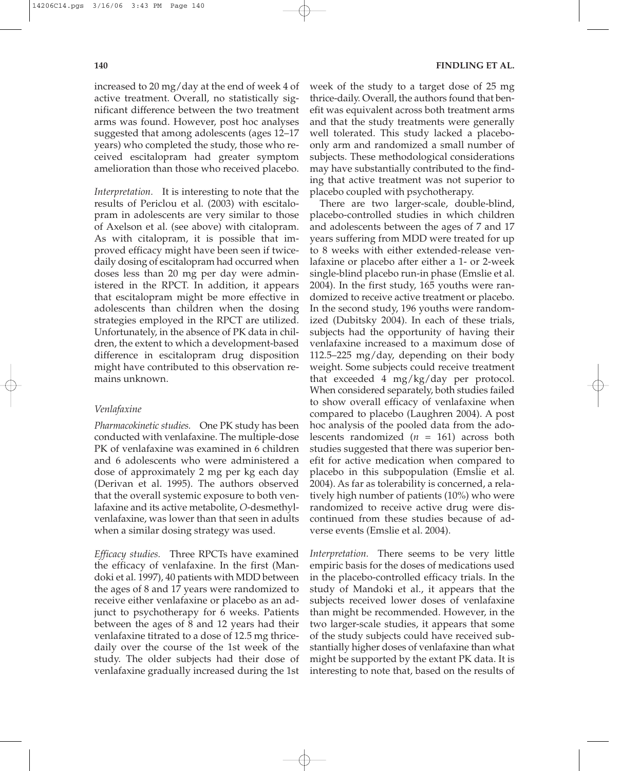increased to 20 mg/day at the end of week 4 of active treatment. Overall, no statistically significant difference between the two treatment arms was found. However, post hoc analyses suggested that among adolescents (ages 12–17 years) who completed the study, those who received escitalopram had greater symptom amelioration than those who received placebo.

*Interpretation.* It is interesting to note that the results of Periclou et al. (2003) with escitalopram in adolescents are very similar to those of Axelson et al. (see above) with citalopram. As with citalopram, it is possible that improved efficacy might have been seen if twicedaily dosing of escitalopram had occurred when doses less than 20 mg per day were administered in the RPCT. In addition, it appears that escitalopram might be more effective in adolescents than children when the dosing strategies employed in the RPCT are utilized. Unfortunately, in the absence of PK data in children, the extent to which a development-based difference in escitalopram drug disposition might have contributed to this observation remains unknown.

# *Venlafaxine*

*Pharmacokinetic studies.* One PK study has been conducted with venlafaxine. The multiple-dose PK of venlafaxine was examined in 6 children and 6 adolescents who were administered a dose of approximately 2 mg per kg each day (Derivan et al. 1995). The authors observed that the overall systemic exposure to both venlafaxine and its active metabolite, *O*-desmethylvenlafaxine, was lower than that seen in adults when a similar dosing strategy was used.

*Efficacy studies.* Three RPCTs have examined the efficacy of venlafaxine. In the first (Mandoki et al. 1997), 40 patients with MDD between the ages of 8 and 17 years were randomized to receive either venlafaxine or placebo as an adjunct to psychotherapy for 6 weeks. Patients between the ages of 8 and 12 years had their venlafaxine titrated to a dose of 12.5 mg thricedaily over the course of the 1st week of the study. The older subjects had their dose of venlafaxine gradually increased during the 1st

week of the study to a target dose of 25 mg thrice-daily. Overall, the authors found that benefit was equivalent across both treatment arms and that the study treatments were generally well tolerated. This study lacked a placeboonly arm and randomized a small number of subjects. These methodological considerations may have substantially contributed to the finding that active treatment was not superior to placebo coupled with psychotherapy.

There are two larger-scale, double-blind, placebo-controlled studies in which children and adolescents between the ages of 7 and 17 years suffering from MDD were treated for up to 8 weeks with either extended-release venlafaxine or placebo after either a 1- or 2-week single-blind placebo run-in phase (Emslie et al. 2004). In the first study, 165 youths were randomized to receive active treatment or placebo. In the second study, 196 youths were randomized (Dubitsky 2004). In each of these trials, subjects had the opportunity of having their venlafaxine increased to a maximum dose of 112.5–225 mg/day, depending on their body weight. Some subjects could receive treatment that exceeded 4 mg/kg/day per protocol. When considered separately, both studies failed to show overall efficacy of venlafaxine when compared to placebo (Laughren 2004). A post hoc analysis of the pooled data from the adolescents randomized (*n* = 161) across both studies suggested that there was superior benefit for active medication when compared to placebo in this subpopulation (Emslie et al. 2004). As far as tolerability is concerned, a relatively high number of patients (10%) who were randomized to receive active drug were discontinued from these studies because of adverse events (Emslie et al. 2004).

*Interpretation.* There seems to be very little empiric basis for the doses of medications used in the placebo-controlled efficacy trials. In the study of Mandoki et al., it appears that the subjects received lower doses of venlafaxine than might be recommended. However, in the two larger-scale studies, it appears that some of the study subjects could have received substantially higher doses of venlafaxine than what might be supported by the extant PK data. It is interesting to note that, based on the results of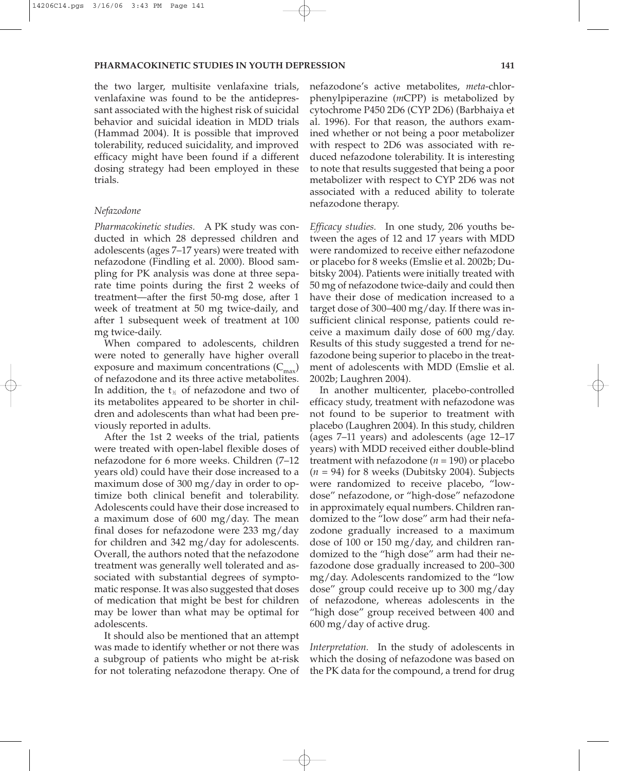the two larger, multisite venlafaxine trials, venlafaxine was found to be the antidepressant associated with the highest risk of suicidal behavior and suicidal ideation in MDD trials (Hammad 2004). It is possible that improved tolerability, reduced suicidality, and improved efficacy might have been found if a different dosing strategy had been employed in these trials.

#### *Nefazodone*

*Pharmacokinetic studies.* A PK study was conducted in which 28 depressed children and adolescents (ages 7–17 years) were treated with nefazodone (Findling et al. 2000). Blood sampling for PK analysis was done at three separate time points during the first 2 weeks of treatment—after the first 50-mg dose, after 1 week of treatment at 50 mg twice-daily, and after 1 subsequent week of treatment at 100 mg twice-daily.

When compared to adolescents, children were noted to generally have higher overall exposure and maximum concentrations  $(C_{\text{max}})$ of nefazodone and its three active metabolites. In addition, the  $t_{\%}$  of nefazodone and two of its metabolites appeared to be shorter in children and adolescents than what had been previously reported in adults.

After the 1st 2 weeks of the trial, patients were treated with open-label flexible doses of nefazodone for 6 more weeks. Children (7–12 years old) could have their dose increased to a maximum dose of 300 mg/day in order to optimize both clinical benefit and tolerability. Adolescents could have their dose increased to a maximum dose of 600 mg/day. The mean final doses for nefazodone were 233 mg/day for children and 342 mg/day for adolescents. Overall, the authors noted that the nefazodone treatment was generally well tolerated and associated with substantial degrees of symptomatic response. It was also suggested that doses of medication that might be best for children may be lower than what may be optimal for adolescents.

It should also be mentioned that an attempt was made to identify whether or not there was a subgroup of patients who might be at-risk for not tolerating nefazodone therapy. One of nefazodone's active metabolites, *meta*-chlorphenylpiperazine (*m*CPP) is metabolized by cytochrome P450 2D6 (CYP 2D6) (Barbhaiya et al. 1996). For that reason, the authors examined whether or not being a poor metabolizer with respect to 2D6 was associated with reduced nefazodone tolerability. It is interesting to note that results suggested that being a poor metabolizer with respect to CYP 2D6 was not associated with a reduced ability to tolerate nefazodone therapy.

*Efficacy studies.* In one study, 206 youths between the ages of 12 and 17 years with MDD were randomized to receive either nefazodone or placebo for 8 weeks (Emslie et al. 2002b; Dubitsky 2004). Patients were initially treated with 50 mg of nefazodone twice-daily and could then have their dose of medication increased to a target dose of 300–400 mg/day. If there was insufficient clinical response, patients could receive a maximum daily dose of 600 mg/day. Results of this study suggested a trend for nefazodone being superior to placebo in the treatment of adolescents with MDD (Emslie et al. 2002b; Laughren 2004).

In another multicenter, placebo-controlled efficacy study, treatment with nefazodone was not found to be superior to treatment with placebo (Laughren 2004). In this study, children (ages 7–11 years) and adolescents (age 12–17 years) with MDD received either double-blind treatment with nefazodone ( $n = 190$ ) or placebo (*n* = 94) for 8 weeks (Dubitsky 2004). Subjects were randomized to receive placebo, "lowdose" nefazodone, or "high-dose" nefazodone in approximately equal numbers. Children randomized to the "low dose" arm had their nefazodone gradually increased to a maximum dose of 100 or 150 mg/day, and children randomized to the "high dose" arm had their nefazodone dose gradually increased to 200–300 mg/day. Adolescents randomized to the "low dose" group could receive up to 300 mg/day of nefazodone, whereas adolescents in the "high dose" group received between 400 and 600 mg/day of active drug.

*Interpretation.* In the study of adolescents in which the dosing of nefazodone was based on the PK data for the compound, a trend for drug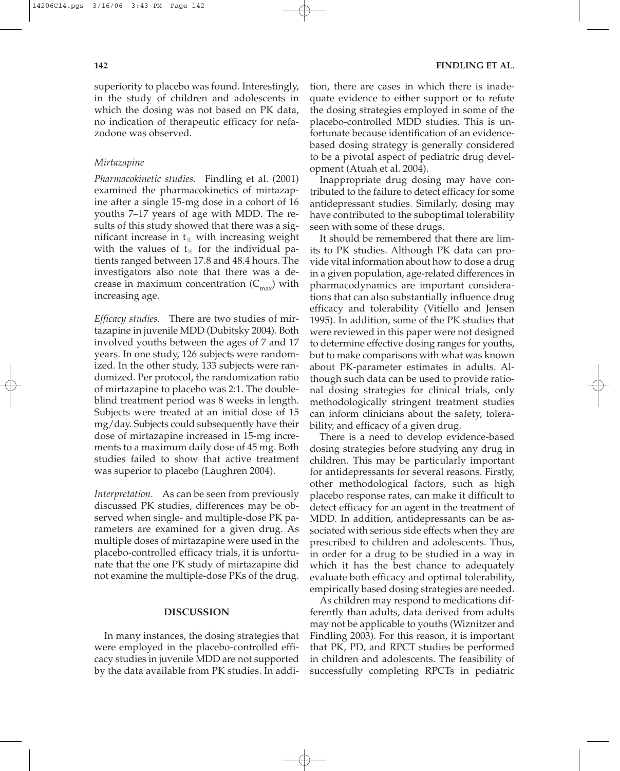superiority to placebo was found. Interestingly, in the study of children and adolescents in which the dosing was not based on PK data, no indication of therapeutic efficacy for nefazodone was observed.

# *Mirtazapine*

*Pharmacokinetic studies.* Findling et al. (2001) examined the pharmacokinetics of mirtazapine after a single 15-mg dose in a cohort of 16 youths 7–17 years of age with MDD. The results of this study showed that there was a significant increase in  $\mathsf{t}_\%$  with increasing weight with the values of  $t_{\%}$  for the individual patients ranged between 17.8 and 48.4 hours. The investigators also note that there was a decrease in maximum concentration  $(C_{\text{max}})$  with increasing age.

*Efficacy studies.* There are two studies of mirtazapine in juvenile MDD (Dubitsky 2004). Both involved youths between the ages of 7 and 17 years. In one study, 126 subjects were randomized. In the other study, 133 subjects were randomized. Per protocol, the randomization ratio of mirtazapine to placebo was 2:1. The doubleblind treatment period was 8 weeks in length. Subjects were treated at an initial dose of 15 mg/day. Subjects could subsequently have their dose of mirtazapine increased in 15-mg increments to a maximum daily dose of 45 mg. Both studies failed to show that active treatment was superior to placebo (Laughren 2004).

*Interpretation.* As can be seen from previously discussed PK studies, differences may be observed when single- and multiple-dose PK parameters are examined for a given drug. As multiple doses of mirtazapine were used in the placebo-controlled efficacy trials, it is unfortunate that the one PK study of mirtazapine did not examine the multiple-dose PKs of the drug.

# **DISCUSSION**

In many instances, the dosing strategies that were employed in the placebo-controlled efficacy studies in juvenile MDD are not supported by the data available from PK studies. In addi-

tion, there are cases in which there is inadequate evidence to either support or to refute the dosing strategies employed in some of the placebo-controlled MDD studies. This is unfortunate because identification of an evidencebased dosing strategy is generally considered to be a pivotal aspect of pediatric drug development (Atuah et al. 2004).

Inappropriate drug dosing may have contributed to the failure to detect efficacy for some antidepressant studies. Similarly, dosing may have contributed to the suboptimal tolerability seen with some of these drugs.

It should be remembered that there are limits to PK studies. Although PK data can provide vital information about how to dose a drug in a given population, age-related differences in pharmacodynamics are important considerations that can also substantially influence drug efficacy and tolerability (Vitiello and Jensen 1995). In addition, some of the PK studies that were reviewed in this paper were not designed to determine effective dosing ranges for youths, but to make comparisons with what was known about PK-parameter estimates in adults. Although such data can be used to provide rational dosing strategies for clinical trials, only methodologically stringent treatment studies can inform clinicians about the safety, tolerability, and efficacy of a given drug.

There is a need to develop evidence-based dosing strategies before studying any drug in children. This may be particularly important for antidepressants for several reasons. Firstly, other methodological factors, such as high placebo response rates, can make it difficult to detect efficacy for an agent in the treatment of MDD. In addition, antidepressants can be associated with serious side effects when they are prescribed to children and adolescents. Thus, in order for a drug to be studied in a way in which it has the best chance to adequately evaluate both efficacy and optimal tolerability, empirically based dosing strategies are needed.

As children may respond to medications differently than adults, data derived from adults may not be applicable to youths (Wiznitzer and Findling 2003). For this reason, it is important that PK, PD, and RPCT studies be performed in children and adolescents. The feasibility of successfully completing RPCTs in pediatric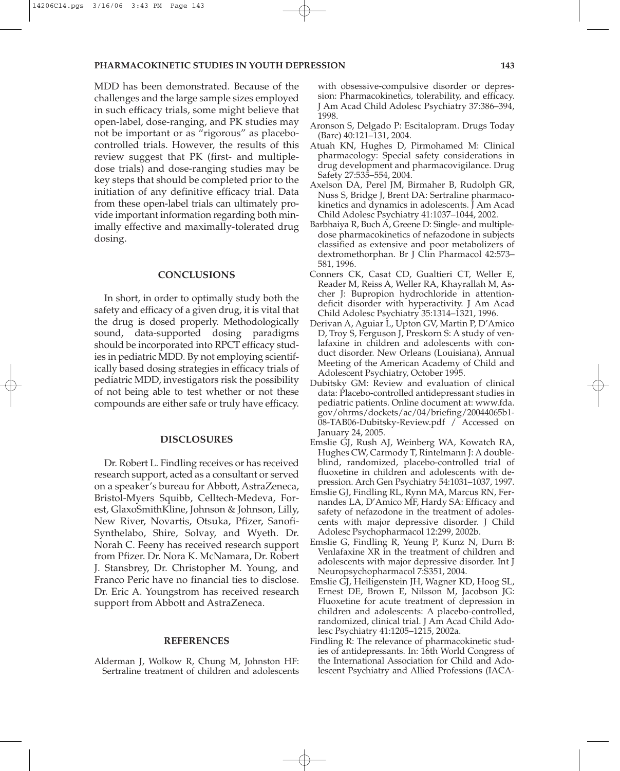MDD has been demonstrated. Because of the challenges and the large sample sizes employed in such efficacy trials, some might believe that open-label, dose-ranging, and PK studies may not be important or as "rigorous" as placebocontrolled trials. However, the results of this review suggest that PK (first- and multipledose trials) and dose-ranging studies may be key steps that should be completed prior to the initiation of any definitive efficacy trial. Data from these open-label trials can ultimately provide important information regarding both minimally effective and maximally-tolerated drug dosing.

#### **CONCLUSIONS**

In short, in order to optimally study both the safety and efficacy of a given drug, it is vital that the drug is dosed properly. Methodologically sound, data-supported dosing paradigms should be incorporated into RPCT efficacy studies in pediatric MDD. By not employing scientifically based dosing strategies in efficacy trials of pediatric MDD, investigators risk the possibility of not being able to test whether or not these compounds are either safe or truly have efficacy.

#### **DISCLOSURES**

Dr. Robert L. Findling receives or has received research support, acted as a consultant or served on a speaker's bureau for Abbott, AstraZeneca, Bristol-Myers Squibb, Celltech-Medeva, Forest, GlaxoSmithKline, Johnson & Johnson, Lilly, New River, Novartis, Otsuka, Pfizer, Sanofi-Synthelabo, Shire, Solvay, and Wyeth. Dr. Norah C. Feeny has received research support from Pfizer. Dr. Nora K. McNamara, Dr. Robert J. Stansbrey, Dr. Christopher M. Young, and Franco Peric have no financial ties to disclose. Dr. Eric A. Youngstrom has received research support from Abbott and AstraZeneca.

#### **REFERENCES**

Alderman J, Wolkow R, Chung M, Johnston HF: Sertraline treatment of children and adolescents

with obsessive-compulsive disorder or depression: Pharmacokinetics, tolerability, and efficacy. J Am Acad Child Adolesc Psychiatry 37:386–394, 1998.

- Aronson S, Delgado P: Escitalopram. Drugs Today (Barc) 40:121–131, 2004.
- Atuah KN, Hughes D, Pirmohamed M: Clinical pharmacology: Special safety considerations in drug development and pharmacovigilance. Drug Safety 27:535–554, 2004.
- Axelson DA, Perel JM, Birmaher B, Rudolph GR, Nuss S, Bridge J, Brent DA: Sertraline pharmacokinetics and dynamics in adolescents. J Am Acad Child Adolesc Psychiatry 41:1037–1044, 2002.
- Barbhaiya R, Buch A, Greene D: Single- and multipledose pharmacokinetics of nefazodone in subjects classified as extensive and poor metabolizers of dextromethorphan. Br J Clin Pharmacol 42:573– 581, 1996.
- Conners CK, Casat CD, Gualtieri CT, Weller E, Reader M, Reiss A, Weller RA, Khayrallah M, Ascher J: Bupropion hydrochloride in attentiondeficit disorder with hyperactivity. J Am Acad Child Adolesc Psychiatry 35:1314–1321, 1996.
- Derivan A, Aguiar L, Upton GV, Martin P, D'Amico D, Troy S, Ferguson J, Preskorn S: A study of venlafaxine in children and adolescents with conduct disorder. New Orleans (Louisiana), Annual Meeting of the American Academy of Child and Adolescent Psychiatry, October 1995.
- Dubitsky GM: Review and evaluation of clinical data: Placebo-controlled antidepressant studies in pediatric patients. Online document at: www.fda. gov/ohrms/dockets/ac/04/briefing/20044065b1- 08-TAB06-Dubitsky-Review.pdf / Accessed on January 24, 2005.
- Emslie GJ, Rush AJ, Weinberg WA, Kowatch RA, Hughes CW, Carmody T, Rintelmann J: A doubleblind, randomized, placebo-controlled trial of fluoxetine in children and adolescents with depression. Arch Gen Psychiatry 54:1031–1037, 1997.
- Emslie GJ, Findling RL, Rynn MA, Marcus RN, Fernandes LA, D'Amico MF, Hardy SA: Efficacy and safety of nefazodone in the treatment of adolescents with major depressive disorder. J Child Adolesc Psychopharmacol 12:299, 2002b.
- Emslie G, Findling R, Yeung P, Kunz N, Durn B: Venlafaxine XR in the treatment of children and adolescents with major depressive disorder. Int J Neuropsychopharmacol 7:S351, 2004.
- Emslie GJ, Heiligenstein JH, Wagner KD, Hoog SL, Ernest DE, Brown E, Nilsson M, Jacobson JG: Fluoxetine for acute treatment of depression in children and adolescents: A placebo-controlled, randomized, clinical trial. J Am Acad Child Adolesc Psychiatry 41:1205–1215, 2002a.
- Findling R: The relevance of pharmacokinetic studies of antidepressants. In: 16th World Congress of the International Association for Child and Adolescent Psychiatry and Allied Professions (IACA-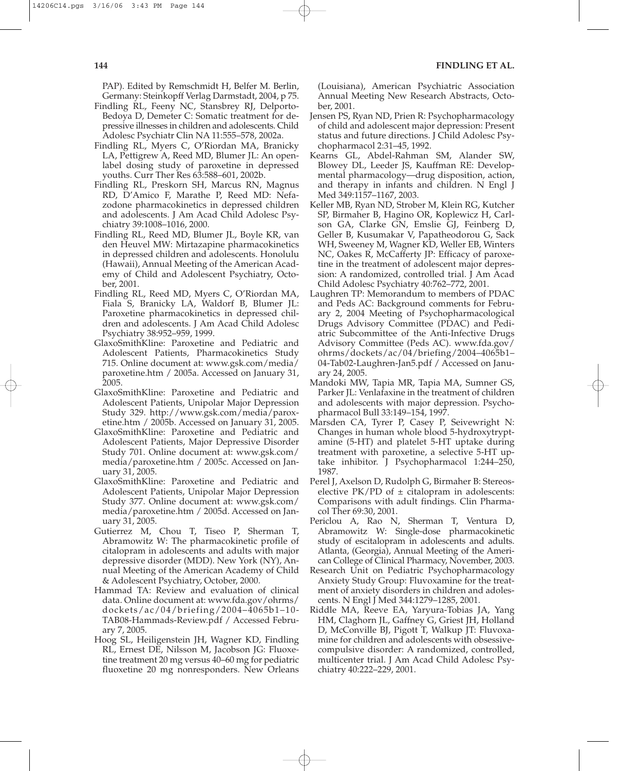PAP). Edited by Remschmidt H, Belfer M. Berlin, Germany: Steinkopff Verlag Darmstadt, 2004, p 75.

- Findling RL, Feeny NC, Stansbrey RJ, Delporto-Bedoya D, Demeter C: Somatic treatment for depressive illnesses in children and adolescents. Child Adolesc Psychiatr Clin NA 11:555–578, 2002a.
- Findling RL, Myers C, O'Riordan MA, Branicky LA, Pettigrew A, Reed MD, Blumer JL: An openlabel dosing study of paroxetine in depressed youths. Curr Ther Res 63:588–601, 2002b.
- Findling RL, Preskorn SH, Marcus RN, Magnus RD, D'Amico F, Marathe P, Reed MD: Nefazodone pharmacokinetics in depressed children and adolescents. J Am Acad Child Adolesc Psychiatry 39:1008–1016, 2000.
- Findling RL, Reed MD, Blumer JL, Boyle KR, van den Heuvel MW: Mirtazapine pharmacokinetics in depressed children and adolescents. Honolulu (Hawaii), Annual Meeting of the American Academy of Child and Adolescent Psychiatry, October, 2001.
- Findling RL, Reed MD, Myers C, O'Riordan MA, Fiala S, Branicky LA, Waldorf B, Blumer JL: Paroxetine pharmacokinetics in depressed children and adolescents. J Am Acad Child Adolesc Psychiatry 38:952–959, 1999.
- GlaxoSmithKline: Paroxetine and Pediatric and Adolescent Patients, Pharmacokinetics Study 715. Online document at: www.gsk.com/media/ paroxetine.htm / 2005a. Accessed on January 31, 2005.
- GlaxoSmithKline: Paroxetine and Pediatric and Adolescent Patients, Unipolar Major Depression Study 329. http://www.gsk.com/media/paroxetine.htm / 2005b. Accessed on January 31, 2005.
- GlaxoSmithKline: Paroxetine and Pediatric and Adolescent Patients, Major Depressive Disorder Study 701. Online document at: www.gsk.com/ media/paroxetine.htm / 2005c. Accessed on January 31, 2005.
- GlaxoSmithKline: Paroxetine and Pediatric and Adolescent Patients, Unipolar Major Depression Study 377. Online document at: www.gsk.com/ media/paroxetine.htm / 2005d. Accessed on January 31, 2005.
- Gutierrez M, Chou T, Tiseo P, Sherman T, Abramowitz W: The pharmacokinetic profile of citalopram in adolescents and adults with major depressive disorder (MDD). New York (NY), Annual Meeting of the American Academy of Child & Adolescent Psychiatry, October, 2000.
- Hammad TA: Review and evaluation of clinical data. Online document at: www.fda.gov/ohrms/ dockets/ac/04/briefing/2004–4065b1–10- TAB08-Hammads-Review.pdf / Accessed February 7, 2005.
- Hoog SL, Heiligenstein JH, Wagner KD, Findling RL, Ernest DE, Nilsson M, Jacobson JG: Fluoxetine treatment 20 mg versus 40–60 mg for pediatric fluoxetine 20 mg nonresponders. New Orleans

(Louisiana), American Psychiatric Association Annual Meeting New Research Abstracts, October, 2001.

- Jensen PS, Ryan ND, Prien R: Psychopharmacology of child and adolescent major depression: Present status and future directions. J Child Adolesc Psychopharmacol 2:31–45, 1992.
- Kearns GL, Abdel-Rahman SM, Alander SW, Blowey DL, Leeder JS, Kauffman RE: Developmental pharmacology—drug disposition, action, and therapy in infants and children. N Engl J Med 349:1157–1167, 2003.
- Keller MB, Ryan ND, Strober M, Klein RG, Kutcher SP, Birmaher B, Hagino OR, Koplewicz H, Carlson GA, Clarke GN, Emslie GJ, Feinberg D, Geller B, Kusumakar V, Papatheodorou G, Sack WH, Sweeney M, Wagner KD, Weller EB, Winters NC, Oakes R, McCafferty JP: Efficacy of paroxetine in the treatment of adolescent major depression: A randomized, controlled trial. J Am Acad Child Adolesc Psychiatry 40:762–772, 2001.
- Laughren TP: Memorandum to members of PDAC and Peds AC: Background comments for February 2, 2004 Meeting of Psychopharmacological Drugs Advisory Committee (PDAC) and Pediatric Subcommittee of the Anti-Infective Drugs Advisory Committee (Peds AC). www.fda.gov/ ohrms/dockets/ac/04/briefing/2004–4065b1– 04-Tab02-Laughren-Jan5.pdf / Accessed on January 24, 2005.
- Mandoki MW, Tapia MR, Tapia MA, Sumner GS, Parker JL: Venlafaxine in the treatment of children and adolescents with major depression. Psychopharmacol Bull 33:149–154, 1997.
- Marsden CA, Tyrer P, Casey P, Seivewright N: Changes in human whole blood 5-hydroxytryptamine (5-HT) and platelet 5-HT uptake during treatment with paroxetine, a selective 5-HT uptake inhibitor. J Psychopharmacol 1:244–250, 1987.
- Perel J, Axelson D, Rudolph G, Birmaher B: Stereoselective  $PK/PD$  of  $\pm$  citalopram in adolescents: Comparisons with adult findings. Clin Pharmacol Ther 69:30, 2001.
- Periclou A, Rao N, Sherman T, Ventura D, Abramowitz W: Single-dose pharmacokinetic study of escitalopram in adolescents and adults. Atlanta, (Georgia), Annual Meeting of the American College of Clinical Pharmacy, November, 2003.
- Research Unit on Pediatric Psychopharmacology Anxiety Study Group: Fluvoxamine for the treatment of anxiety disorders in children and adolescents. N Engl J Med 344:1279–1285, 2001.
- Riddle MA, Reeve EA, Yaryura-Tobias JA, Yang HM, Claghorn JL, Gaffney G, Griest JH, Holland D, McConville BJ, Pigott T, Walkup JT: Fluvoxamine for children and adolescents with obsessivecompulsive disorder: A randomized, controlled, multicenter trial. J Am Acad Child Adolesc Psychiatry 40:222–229, 2001.